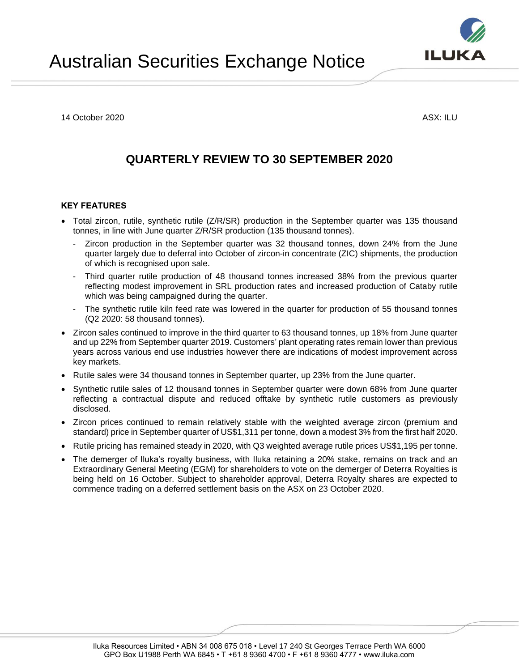14 October 2020 ASX: ILU

# **QUARTERLY REVIEW TO 30 SEPTEMBER 2020**

# **KEY FEATURES**

- Total zircon, rutile, synthetic rutile (Z/R/SR) production in the September quarter was 135 thousand tonnes, in line with June quarter Z/R/SR production (135 thousand tonnes).
	- Zircon production in the September quarter was 32 thousand tonnes, down 24% from the June quarter largely due to deferral into October of zircon-in concentrate (ZIC) shipments, the production of which is recognised upon sale.
	- Third quarter rutile production of 48 thousand tonnes increased 38% from the previous quarter reflecting modest improvement in SRL production rates and increased production of Cataby rutile which was being campaigned during the quarter.
	- The synthetic rutile kiln feed rate was lowered in the quarter for production of 55 thousand tonnes (Q2 2020: 58 thousand tonnes).
- Zircon sales continued to improve in the third quarter to 63 thousand tonnes, up 18% from June quarter and up 22% from September quarter 2019. Customers' plant operating rates remain lower than previous years across various end use industries however there are indications of modest improvement across key markets.
- Rutile sales were 34 thousand tonnes in September quarter, up 23% from the June quarter.
- Synthetic rutile sales of 12 thousand tonnes in September quarter were down 68% from June quarter reflecting a contractual dispute and reduced offtake by synthetic rutile customers as previously disclosed.
- Zircon prices continued to remain relatively stable with the weighted average zircon (premium and standard) price in September quarter of US\$1,311 per tonne, down a modest 3% from the first half 2020.
- Rutile pricing has remained steady in 2020, with Q3 weighted average rutile prices US\$1,195 per tonne.
- The demerger of Iluka's royalty business, with Iluka retaining a 20% stake, remains on track and an Extraordinary General Meeting (EGM) for shareholders to vote on the demerger of Deterra Royalties is being held on 16 October. Subject to shareholder approval, Deterra Royalty shares are expected to commence trading on a deferred settlement basis on the ASX on 23 October 2020.

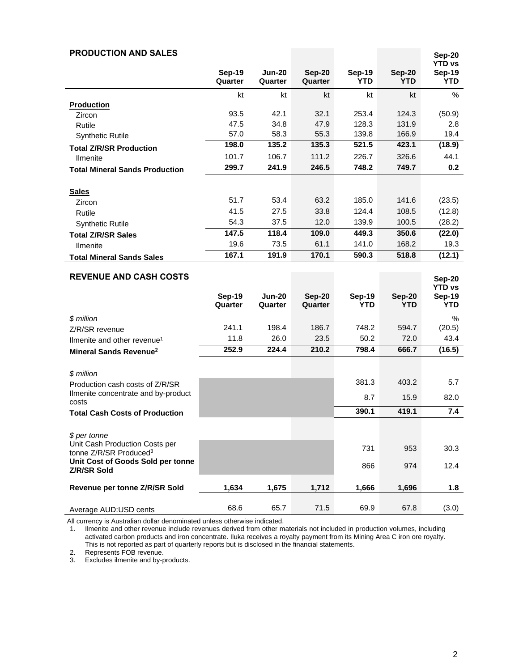| <b>PRODUCTION AND SALES</b>                                                                                                                                            |                          |                          |                          |                             |                             | Sep-20<br><b>YTD vs</b>        |
|------------------------------------------------------------------------------------------------------------------------------------------------------------------------|--------------------------|--------------------------|--------------------------|-----------------------------|-----------------------------|--------------------------------|
|                                                                                                                                                                        | <b>Sep-19</b><br>Quarter | <b>Jun-20</b><br>Quarter | <b>Sep-20</b><br>Quarter | <b>Sep-19</b><br><b>YTD</b> | <b>Sep-20</b><br><b>YTD</b> | <b>Sep-19</b><br><b>YTD</b>    |
|                                                                                                                                                                        | kt                       | kt                       | kt                       | kt                          | kt                          | %                              |
| <b>Production</b>                                                                                                                                                      |                          |                          |                          |                             |                             |                                |
| Zircon                                                                                                                                                                 | 93.5                     | 42.1                     | 32.1                     | 253.4                       | 124.3                       | (50.9)                         |
| Rutile                                                                                                                                                                 | 47.5                     | 34.8                     | 47.9                     | 128.3                       | 131.9                       | 2.8<br>19.4                    |
| <b>Synthetic Rutile</b>                                                                                                                                                | 57.0<br>198.0            | 58.3<br>135.2            | 55.3<br>135.3            | 139.8<br>521.5              | 166.9<br>423.1              | (18.9)                         |
| <b>Total Z/R/SR Production</b>                                                                                                                                         |                          |                          |                          |                             |                             |                                |
| <b>Ilmenite</b>                                                                                                                                                        | 101.7<br>299.7           | 106.7<br>241.9           | 111.2<br>246.5           | 226.7<br>748.2              | 326.6<br>749.7              | 44.1<br>0.2                    |
| <b>Total Mineral Sands Production</b>                                                                                                                                  |                          |                          |                          |                             |                             |                                |
| <b>Sales</b>                                                                                                                                                           |                          |                          |                          |                             |                             |                                |
| Zircon                                                                                                                                                                 | 51.7                     | 53.4                     | 63.2                     | 185.0                       | 141.6                       | (23.5)                         |
| Rutile                                                                                                                                                                 | 41.5                     | 27.5                     | 33.8                     | 124.4                       | 108.5                       | (12.8)                         |
| <b>Synthetic Rutile</b>                                                                                                                                                | 54.3                     | 37.5                     | 12.0                     | 139.9                       | 100.5                       | (28.2)                         |
| <b>Total Z/R/SR Sales</b>                                                                                                                                              | 147.5                    | 118.4                    | 109.0                    | 449.3                       | 350.6                       | (22.0)                         |
| <b>Ilmenite</b>                                                                                                                                                        | 19.6                     | 73.5                     | 61.1                     | 141.0                       | 168.2                       | 19.3                           |
| <b>Total Mineral Sands Sales</b>                                                                                                                                       | 167.1                    | 191.9                    | 170.1                    | 590.3                       | 518.8                       | (12.1)                         |
| <b>REVENUE AND CASH COSTS</b>                                                                                                                                          |                          |                          |                          |                             |                             |                                |
|                                                                                                                                                                        |                          |                          |                          |                             |                             | <b>Sep-20</b><br><b>YTD vs</b> |
|                                                                                                                                                                        | <b>Sep-19</b>            | Jun-20                   | <b>Sep-20</b>            | <b>Sep-19</b>               | <b>Sep-20</b>               | <b>Sep-19</b>                  |
|                                                                                                                                                                        | Quarter                  | Quarter                  | Quarter                  | <b>YTD</b>                  | <b>YTD</b>                  | <b>YTD</b>                     |
| \$ million                                                                                                                                                             |                          |                          |                          |                             |                             | %                              |
| Z/R/SR revenue                                                                                                                                                         | 241.1                    | 198.4                    | 186.7                    | 748.2                       | 594.7                       | (20.5)                         |
| Ilmenite and other revenue <sup>1</sup>                                                                                                                                | 11.8                     | 26.0                     | 23.5                     | 50.2                        | 72.0                        | 43.4                           |
| Mineral Sands Revenue <sup>2</sup>                                                                                                                                     | 252.9                    | 224.4                    | 210.2                    | 798.4                       | 666.7                       | (16.5)                         |
|                                                                                                                                                                        |                          |                          |                          |                             |                             |                                |
|                                                                                                                                                                        |                          |                          |                          | 381.3                       | 403.2                       | 5.7                            |
| Ilmenite concentrate and by-product                                                                                                                                    |                          |                          |                          | 8.7                         | 15.9                        | 82.0                           |
| <b>Total Cash Costs of Production</b>                                                                                                                                  |                          |                          |                          | 390.1                       | 419.1                       | 7.4                            |
|                                                                                                                                                                        |                          |                          |                          |                             |                             |                                |
| \$ per tonne                                                                                                                                                           |                          |                          |                          |                             |                             |                                |
|                                                                                                                                                                        |                          |                          |                          | 731                         | 953                         | 30.3                           |
| Unit Cost of Goods Sold per tonne                                                                                                                                      |                          |                          |                          |                             |                             |                                |
|                                                                                                                                                                        |                          |                          |                          |                             |                             |                                |
| Revenue per tonne Z/R/SR Sold                                                                                                                                          | 1,634                    | 1,675                    | 1,712                    | 1,666                       | 1,696                       | 1.8                            |
|                                                                                                                                                                        | 68.6                     | 65.7                     | 71.5                     | 69.9                        | 67.8                        | (3.0)                          |
| \$ million<br>Production cash costs of Z/R/SR<br>costs<br>Unit Cash Production Costs per<br>tonne Z/R/SR Produced <sup>3</sup><br>Z/R/SR Sold<br>Average AUD:USD cents |                          |                          |                          | 866                         | 974                         | 12.4                           |

All currency is Australian dollar denominated unless otherwise indicated.

1. Ilmenite and other revenue include revenues derived from other materials not included in production volumes, including activated carbon products and iron concentrate. Iluka receives a royalty payment from its Mining Area C iron ore royalty. This is not reported as part of quarterly reports but is disclosed in the financial statements.

2. Represents FOB revenue.

3. Excludes ilmenite and by-products.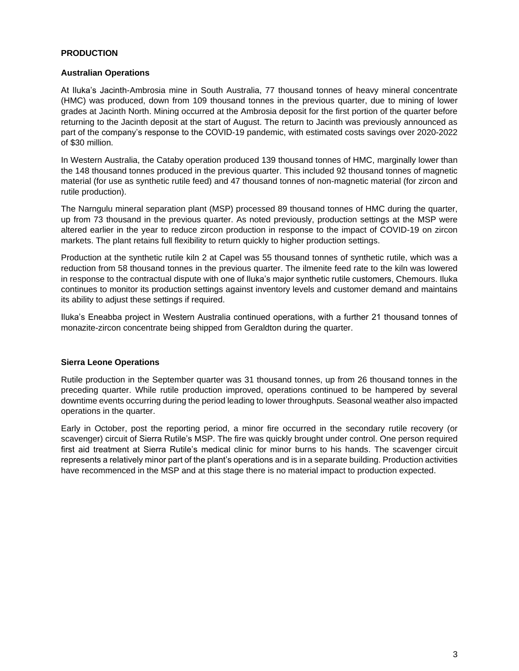# **PRODUCTION**

# **Australian Operations**

At Iluka's Jacinth-Ambrosia mine in South Australia, 77 thousand tonnes of heavy mineral concentrate (HMC) was produced, down from 109 thousand tonnes in the previous quarter, due to mining of lower grades at Jacinth North. Mining occurred at the Ambrosia deposit for the first portion of the quarter before returning to the Jacinth deposit at the start of August. The return to Jacinth was previously announced as part of the company's response to the COVID-19 pandemic, with estimated costs savings over 2020-2022 of \$30 million.

In Western Australia, the Cataby operation produced 139 thousand tonnes of HMC, marginally lower than the 148 thousand tonnes produced in the previous quarter. This included 92 thousand tonnes of magnetic material (for use as synthetic rutile feed) and 47 thousand tonnes of non-magnetic material (for zircon and rutile production).

The Narngulu mineral separation plant (MSP) processed 89 thousand tonnes of HMC during the quarter, up from 73 thousand in the previous quarter. As noted previously, production settings at the MSP were altered earlier in the year to reduce zircon production in response to the impact of COVID-19 on zircon markets. The plant retains full flexibility to return quickly to higher production settings.

Production at the synthetic rutile kiln 2 at Capel was 55 thousand tonnes of synthetic rutile, which was a reduction from 58 thousand tonnes in the previous quarter. The ilmenite feed rate to the kiln was lowered in response to the contractual dispute with one of Iluka's major synthetic rutile customers, Chemours. Iluka continues to monitor its production settings against inventory levels and customer demand and maintains its ability to adjust these settings if required.

Iluka's Eneabba project in Western Australia continued operations, with a further 21 thousand tonnes of monazite-zircon concentrate being shipped from Geraldton during the quarter.

# **Sierra Leone Operations**

Rutile production in the September quarter was 31 thousand tonnes, up from 26 thousand tonnes in the preceding quarter. While rutile production improved, operations continued to be hampered by several downtime events occurring during the period leading to lower throughputs. Seasonal weather also impacted operations in the quarter.

Early in October, post the reporting period, a minor fire occurred in the secondary rutile recovery (or scavenger) circuit of Sierra Rutile's MSP. The fire was quickly brought under control. One person required first aid treatment at Sierra Rutile's medical clinic for minor burns to his hands. The scavenger circuit represents a relatively minor part of the plant's operations and is in a separate building. Production activities have recommenced in the MSP and at this stage there is no material impact to production expected.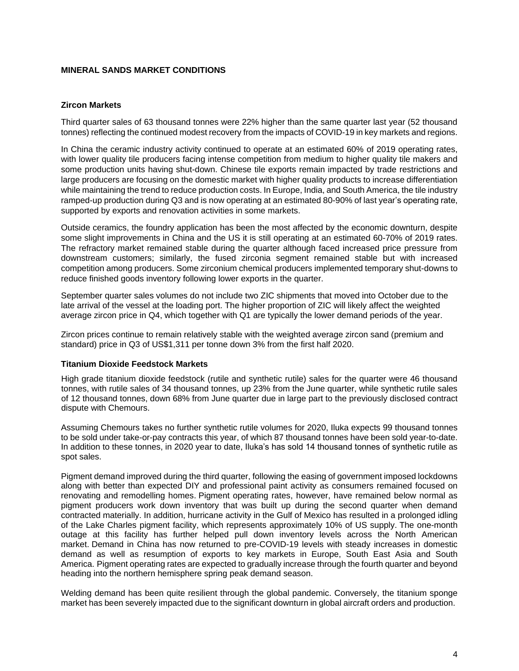# **MINERAL SANDS MARKET CONDITIONS**

# **Zircon Markets**

Third quarter sales of 63 thousand tonnes were 22% higher than the same quarter last year (52 thousand tonnes) reflecting the continued modest recovery from the impacts of COVID-19 in key markets and regions.

In China the ceramic industry activity continued to operate at an estimated 60% of 2019 operating rates, with lower quality tile producers facing intense competition from medium to higher quality tile makers and some production units having shut-down. Chinese tile exports remain impacted by trade restrictions and large producers are focusing on the domestic market with higher quality products to increase differentiation while maintaining the trend to reduce production costs. In Europe, India, and South America, the tile industry ramped-up production during Q3 and is now operating at an estimated 80-90% of last year's operating rate, supported by exports and renovation activities in some markets.

Outside ceramics, the foundry application has been the most affected by the economic downturn, despite some slight improvements in China and the US it is still operating at an estimated 60-70% of 2019 rates. The refractory market remained stable during the quarter although faced increased price pressure from downstream customers; similarly, the fused zirconia segment remained stable but with increased competition among producers. Some zirconium chemical producers implemented temporary shut-downs to reduce finished goods inventory following lower exports in the quarter.

September quarter sales volumes do not include two ZIC shipments that moved into October due to the late arrival of the vessel at the loading port. The higher proportion of ZIC will likely affect the weighted average zircon price in Q4, which together with Q1 are typically the lower demand periods of the year.

Zircon prices continue to remain relatively stable with the weighted average zircon sand (premium and standard) price in Q3 of US\$1,311 per tonne down 3% from the first half 2020.

#### **Titanium Dioxide Feedstock Markets**

High grade titanium dioxide feedstock (rutile and synthetic rutile) sales for the quarter were 46 thousand tonnes, with rutile sales of 34 thousand tonnes, up 23% from the June quarter, while synthetic rutile sales of 12 thousand tonnes, down 68% from June quarter due in large part to the previously disclosed contract dispute with Chemours.

Assuming Chemours takes no further synthetic rutile volumes for 2020, Iluka expects 99 thousand tonnes to be sold under take-or-pay contracts this year, of which 87 thousand tonnes have been sold year-to-date. In addition to these tonnes, in 2020 year to date, Iluka's has sold 14 thousand tonnes of synthetic rutile as spot sales.

Pigment demand improved during the third quarter, following the easing of government imposed lockdowns along with better than expected DIY and professional paint activity as consumers remained focused on renovating and remodelling homes. Pigment operating rates, however, have remained below normal as pigment producers work down inventory that was built up during the second quarter when demand contracted materially. In addition, hurricane activity in the Gulf of Mexico has resulted in a prolonged idling of the Lake Charles pigment facility, which represents approximately 10% of US supply. The one-month outage at this facility has further helped pull down inventory levels across the North American market. Demand in China has now returned to pre-COVID-19 levels with steady increases in domestic demand as well as resumption of exports to key markets in Europe, South East Asia and South America. Pigment operating rates are expected to gradually increase through the fourth quarter and beyond heading into the northern hemisphere spring peak demand season.

Welding demand has been quite resilient through the global pandemic. Conversely, the titanium sponge market has been severely impacted due to the significant downturn in global aircraft orders and production.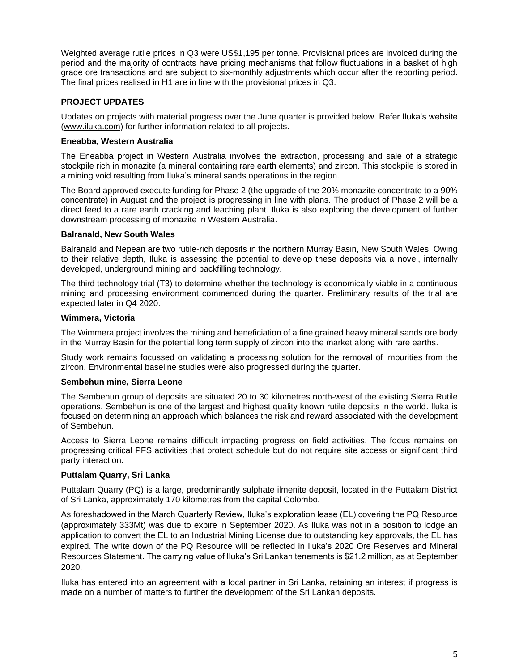Weighted average rutile prices in Q3 were US\$1,195 per tonne. Provisional prices are invoiced during the period and the majority of contracts have pricing mechanisms that follow fluctuations in a basket of high grade ore transactions and are subject to six-monthly adjustments which occur after the reporting period. The final prices realised in H1 are in line with the provisional prices in Q3.

# **PROJECT UPDATES**

Updates on projects with material progress over the June quarter is provided below. Refer Iluka's website [\(www.iluka.com\)](http://www.iluka.com/) for further information related to all projects.

### **Eneabba, Western Australia**

The Eneabba project in Western Australia involves the extraction, processing and sale of a strategic stockpile rich in monazite (a mineral containing rare earth elements) and zircon. This stockpile is stored in a mining void resulting from Iluka's mineral sands operations in the region.

The Board approved execute funding for Phase 2 (the upgrade of the 20% monazite concentrate to a 90% concentrate) in August and the project is progressing in line with plans. The product of Phase 2 will be a direct feed to a rare earth cracking and leaching plant. Iluka is also exploring the development of further downstream processing of monazite in Western Australia.

# **Balranald, New South Wales**

Balranald and Nepean are two rutile-rich deposits in the northern Murray Basin, New South Wales. Owing to their relative depth, Iluka is assessing the potential to develop these deposits via a novel, internally developed, underground mining and backfilling technology.

The third technology trial (T3) to determine whether the technology is economically viable in a continuous mining and processing environment commenced during the quarter. Preliminary results of the trial are expected later in Q4 2020.

# **Wimmera, Victoria**

The Wimmera project involves the mining and beneficiation of a fine grained heavy mineral sands ore body in the Murray Basin for the potential long term supply of zircon into the market along with rare earths.

Study work remains focussed on validating a processing solution for the removal of impurities from the zircon. Environmental baseline studies were also progressed during the quarter.

# **Sembehun mine, Sierra Leone**

The Sembehun group of deposits are situated 20 to 30 kilometres north-west of the existing Sierra Rutile operations. Sembehun is one of the largest and highest quality known rutile deposits in the world. Iluka is focused on determining an approach which balances the risk and reward associated with the development of Sembehun.

Access to Sierra Leone remains difficult impacting progress on field activities. The focus remains on progressing critical PFS activities that protect schedule but do not require site access or significant third party interaction.

#### **Puttalam Quarry, Sri Lanka**

Puttalam Quarry (PQ) is a large, predominantly sulphate ilmenite deposit, located in the Puttalam District of Sri Lanka, approximately 170 kilometres from the capital Colombo.

As foreshadowed in the March Quarterly Review, Iluka's exploration lease (EL) covering the PQ Resource (approximately 333Mt) was due to expire in September 2020. As Iluka was not in a position to lodge an application to convert the EL to an Industrial Mining License due to outstanding key approvals, the EL has expired. The write down of the PQ Resource will be reflected in Iluka's 2020 Ore Reserves and Mineral Resources Statement. The carrying value of Iluka's Sri Lankan tenements is \$21.2 million, as at September 2020.

Iluka has entered into an agreement with a local partner in Sri Lanka, retaining an interest if progress is made on a number of matters to further the development of the Sri Lankan deposits.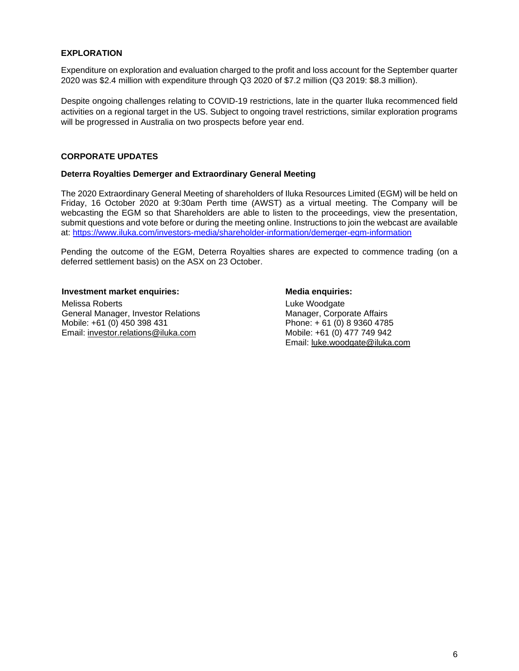# **EXPLORATION**

Expenditure on exploration and evaluation charged to the profit and loss account for the September quarter 2020 was \$2.4 million with expenditure through Q3 2020 of \$7.2 million (Q3 2019: \$8.3 million).

Despite ongoing challenges relating to COVID-19 restrictions, late in the quarter Iluka recommenced field activities on a regional target in the US. Subject to ongoing travel restrictions, similar exploration programs will be progressed in Australia on two prospects before year end.

# **CORPORATE UPDATES**

#### **Deterra Royalties Demerger and Extraordinary General Meeting**

The 2020 Extraordinary General Meeting of shareholders of Iluka Resources Limited (EGM) will be held on Friday, 16 October 2020 at 9:30am Perth time (AWST) as a virtual meeting. The Company will be webcasting the EGM so that Shareholders are able to listen to the proceedings, view the presentation, submit questions and vote before or during the meeting online. Instructions to join the webcast are available at:<https://www.iluka.com/investors-media/shareholder-information/demerger-egm-information>

Pending the outcome of the EGM, Deterra Royalties shares are expected to commence trading (on a deferred settlement basis) on the ASX on 23 October.

**Investment market enquiries: Media enquiries:** Melissa Roberts General Manager, Investor Relations Mobile: +61 (0) 450 398 431 Email: [investor.relations@iluka.com](mailto:investor.relations@iluka.com)

Luke Woodgate Manager, Corporate Affairs Phone: + 61 (0) 8 9360 4785 Mobile: +61 (0) 477 749 942 Email: [luke.woodgate@iluka.com](mailto:luke.woodgate@iluka.com)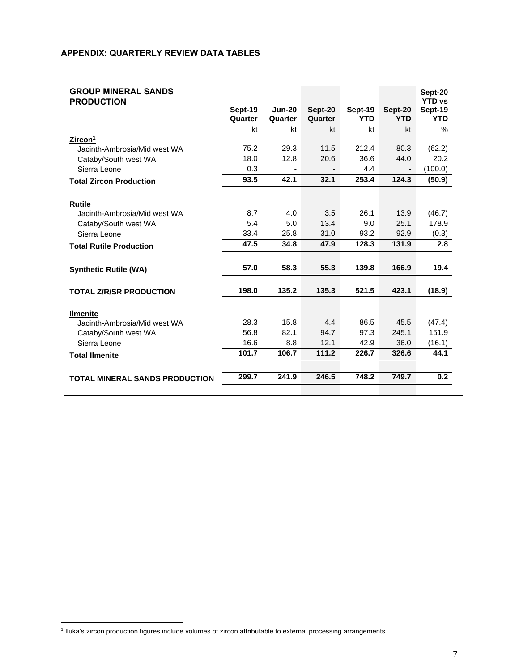# **APPENDIX: QUARTERLY REVIEW DATA TABLES**

| <b>GROUP MINERAL SANDS</b><br><b>PRODUCTION</b> |                    |                          |                    |                       |                       | Sept-20<br><b>YTD vs</b> |
|-------------------------------------------------|--------------------|--------------------------|--------------------|-----------------------|-----------------------|--------------------------|
|                                                 | Sept-19<br>Quarter | <b>Jun-20</b><br>Quarter | Sept-20<br>Quarter | Sept-19<br><b>YTD</b> | Sept-20<br><b>YTD</b> | Sept-19<br><b>YTD</b>    |
|                                                 | kt                 | kt                       | kt                 | kt                    | kt                    | $\%$                     |
| Zircon <sup>1</sup>                             |                    |                          |                    |                       |                       |                          |
| Jacinth-Ambrosia/Mid west WA                    | 75.2               | 29.3                     | 11.5               | 212.4                 | 80.3                  | (62.2)                   |
| Cataby/South west WA                            | 18.0               | 12.8                     | 20.6               | 36.6                  | 44.0                  | 20.2                     |
| Sierra Leone                                    | 0.3                |                          |                    | 4.4                   |                       | (100.0)                  |
| <b>Total Zircon Production</b>                  | 93.5               | 42.1                     | 32.1               | 253.4                 | 124.3                 | (50.9)                   |
|                                                 |                    |                          |                    |                       |                       |                          |
| <b>Rutile</b>                                   |                    |                          |                    |                       |                       |                          |
| Jacinth-Ambrosia/Mid west WA                    | 8.7                | 4.0                      | 3.5                | 26.1                  | 13.9                  | (46.7)                   |
| Cataby/South west WA                            | 5.4                | 5.0                      | 13.4               | 9.0                   | 25.1                  | 178.9                    |
| Sierra Leone                                    | 33.4               | 25.8                     | 31.0               | 93.2                  | 92.9                  | (0.3)                    |
| <b>Total Rutile Production</b>                  | 47.5               | 34.8                     | 47.9               | 128.3                 | 131.9                 | 2.8                      |
|                                                 |                    |                          |                    |                       |                       |                          |
| <b>Synthetic Rutile (WA)</b>                    | 57.0               | 58.3                     | 55.3               | 139.8                 | 166.9                 | 19.4                     |
|                                                 |                    |                          |                    |                       |                       |                          |
| <b>TOTAL Z/R/SR PRODUCTION</b>                  | 198.0              | 135.2                    | 135.3              | 521.5                 | 423.1                 | (18.9)                   |
|                                                 |                    |                          |                    |                       |                       |                          |
| <b>Ilmenite</b>                                 |                    |                          |                    |                       |                       |                          |
| Jacinth-Ambrosia/Mid west WA                    | 28.3               | 15.8                     | 4.4                | 86.5                  | 45.5                  | (47.4)                   |
| Cataby/South west WA                            | 56.8               | 82.1                     | 94.7               | 97.3                  | 245.1                 | 151.9                    |
| Sierra Leone                                    | 16.6               | 8.8                      | 12.1               | 42.9                  | 36.0                  | (16.1)                   |
| <b>Total Ilmenite</b>                           | 101.7              | 106.7                    | 111.2              | 226.7                 | 326.6                 | 44.1                     |
|                                                 |                    |                          |                    |                       |                       |                          |
| <b>TOTAL MINERAL SANDS PRODUCTION</b>           | 299.7              | 241.9                    | 246.5              | 748.2                 | 749.7                 | 0.2                      |
|                                                 |                    |                          |                    |                       |                       |                          |

<sup>1</sup> Iluka's zircon production figures include volumes of zircon attributable to external processing arrangements.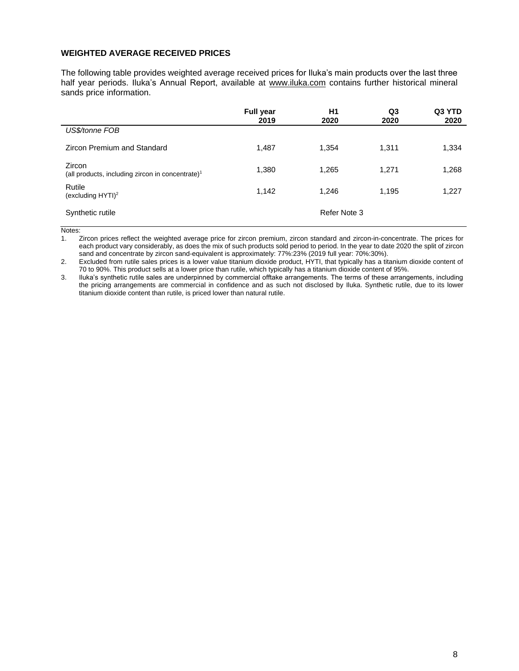#### **WEIGHTED AVERAGE RECEIVED PRICES**

The following table provides weighted average received prices for Iluka's main products over the last three half year periods. Iluka's Annual Report, available at [www.iluka.com](http://www.iluka.com/) contains further historical mineral sands price information.

|                                                                        | <b>Full year</b><br>2019 | H1<br>2020   | Q3<br>2020 | Q3 YTD<br>2020 |
|------------------------------------------------------------------------|--------------------------|--------------|------------|----------------|
| US\$/tonne FOB                                                         |                          |              |            |                |
| Zircon Premium and Standard                                            | 1,487                    | 1,354        | 1,311      | 1,334          |
| Zircon<br>(all products, including zircon in concentrate) <sup>1</sup> | 1,380                    | 1,265        | 1,271      | 1,268          |
| Rutile<br>(excluding $HYTI$ ) <sup>2</sup>                             | 1,142                    | 1,246        | 1,195      | 1,227          |
| Synthetic rutile                                                       |                          | Refer Note 3 |            |                |

Notes:

1. Zircon prices reflect the weighted average price for zircon premium, zircon standard and zircon-in-concentrate. The prices for each product vary considerably, as does the mix of such products sold period to period. In the year to date 2020 the split of zircon sand and concentrate by zircon sand-equivalent is approximately: 77%:23% (2019 full year: 70%:30%).

2. Excluded from rutile sales prices is a lower value titanium dioxide product, HYTI, that typically has a titanium dioxide content of 70 to 90%. This product sells at a lower price than rutile, which typically has a titanium dioxide content of 95%.

3. Iluka's synthetic rutile sales are underpinned by commercial offtake arrangements. The terms of these arrangements, including the pricing arrangements are commercial in confidence and as such not disclosed by Iluka. Synthetic rutile, due to its lower titanium dioxide content than rutile, is priced lower than natural rutile.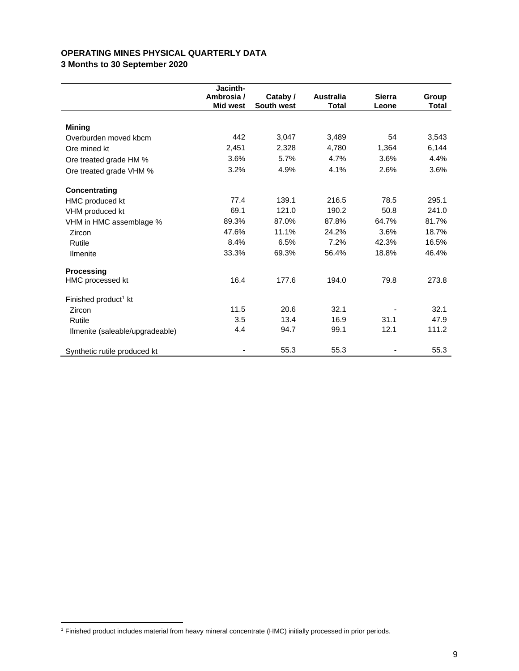# **OPERATING MINES PHYSICAL QUARTERLY DATA**

**3 Months to 30 September 2020**

|                                  | Jacinth-        |            |                  |               |              |
|----------------------------------|-----------------|------------|------------------|---------------|--------------|
|                                  | Ambrosia /      | Cataby /   | <b>Australia</b> | <b>Sierra</b> | Group        |
|                                  | <b>Mid west</b> | South west | <b>Total</b>     | Leone         | <b>Total</b> |
| <b>Mining</b>                    |                 |            |                  |               |              |
| Overburden moved kbcm            | 442             | 3,047      | 3,489            | 54            | 3,543        |
| Ore mined kt                     | 2,451           | 2,328      | 4,780            | 1,364         | 6,144        |
| Ore treated grade HM %           | 3.6%            | 5.7%       | 4.7%             | 3.6%          | 4.4%         |
| Ore treated grade VHM %          | 3.2%            | 4.9%       | 4.1%             | 2.6%          | 3.6%         |
| Concentrating                    |                 |            |                  |               |              |
| HMC produced kt                  | 77.4            | 139.1      | 216.5            | 78.5          | 295.1        |
| VHM produced kt                  | 69.1            | 121.0      | 190.2            | 50.8          | 241.0        |
| VHM in HMC assemblage %          | 89.3%           | 87.0%      | 87.8%            | 64.7%         | 81.7%        |
| Zircon                           | 47.6%           | 11.1%      | 24.2%            | 3.6%          | 18.7%        |
| Rutile                           | 8.4%            | 6.5%       | 7.2%             | 42.3%         | 16.5%        |
| <b>Ilmenite</b>                  | 33.3%           | 69.3%      | 56.4%            | 18.8%         | 46.4%        |
| <b>Processing</b>                |                 |            |                  |               |              |
| HMC processed kt                 | 16.4            | 177.6      | 194.0            | 79.8          | 273.8        |
| Finished product <sup>1</sup> kt |                 |            |                  |               |              |
| Zircon                           | 11.5            | 20.6       | 32.1             |               | 32.1         |
| Rutile                           | 3.5             | 13.4       | 16.9             | 31.1          | 47.9         |
| Ilmenite (saleable/upgradeable)  | 4.4             | 94.7       | 99.1             | 12.1          | 111.2        |
| Synthetic rutile produced kt     | ۰               | 55.3       | 55.3             |               | 55.3         |

<sup>1</sup> Finished product includes material from heavy mineral concentrate (HMC) initially processed in prior periods.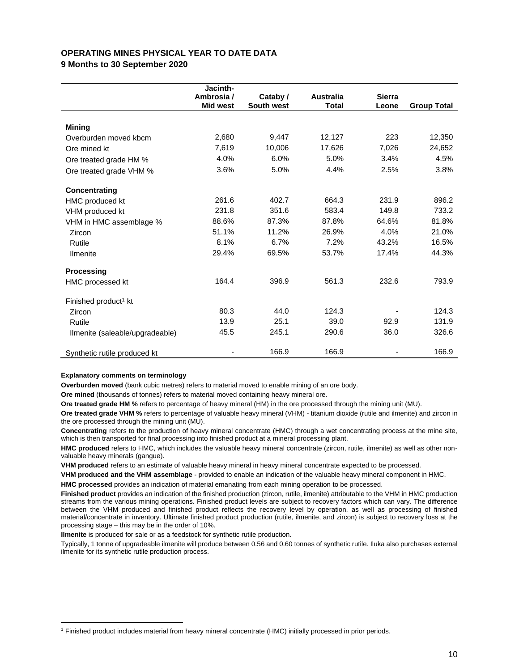# **OPERATING MINES PHYSICAL YEAR TO DATE DATA**

**9 Months to 30 September 2020**

|                                  | Jacinth-        |            |                  |               |                    |
|----------------------------------|-----------------|------------|------------------|---------------|--------------------|
|                                  | Ambrosia/       | Cataby /   | <b>Australia</b> | <b>Sierra</b> |                    |
|                                  | <b>Mid west</b> | South west | <b>Total</b>     | Leone         | <b>Group Total</b> |
|                                  |                 |            |                  |               |                    |
| <b>Mining</b>                    |                 |            |                  |               |                    |
| Overburden moved kbcm            | 2,680           | 9,447      | 12,127           | 223           | 12,350             |
| Ore mined kt                     | 7,619           | 10,006     | 17,626           | 7,026         | 24,652             |
| Ore treated grade HM %           | 4.0%            | 6.0%       | 5.0%             | 3.4%          | 4.5%               |
| Ore treated grade VHM %          | 3.6%            | 5.0%       | 4.4%             | 2.5%          | 3.8%               |
| Concentrating                    |                 |            |                  |               |                    |
| HMC produced kt                  | 261.6           | 402.7      | 664.3            | 231.9         | 896.2              |
| VHM produced kt                  | 231.8           | 351.6      | 583.4            | 149.8         | 733.2              |
| VHM in HMC assemblage %          | 88.6%           | 87.3%      | 87.8%            | 64.6%         | 81.8%              |
| Zircon                           | 51.1%           | 11.2%      | 26.9%            | 4.0%          | 21.0%              |
| Rutile                           | 8.1%            | 6.7%       | 7.2%             | 43.2%         | 16.5%              |
| <b>Ilmenite</b>                  | 29.4%           | 69.5%      | 53.7%            | 17.4%         | 44.3%              |
| <b>Processing</b>                |                 |            |                  |               |                    |
| HMC processed kt                 | 164.4           | 396.9      | 561.3            | 232.6         | 793.9              |
| Finished product <sup>1</sup> kt |                 |            |                  |               |                    |
| Zircon                           | 80.3            | 44.0       | 124.3            |               | 124.3              |
| Rutile                           | 13.9            | 25.1       | 39.0             | 92.9          | 131.9              |
| Ilmenite (saleable/upgradeable)  | 45.5            | 245.1      | 290.6            | 36.0          | 326.6              |
| Synthetic rutile produced kt     |                 | 166.9      | 166.9            |               | 166.9              |

#### **Explanatory comments on terminology**

**Overburden moved** (bank cubic metres) refers to material moved to enable mining of an ore body.

**Ore mined** (thousands of tonnes) refers to material moved containing heavy mineral ore.

**Ore treated grade HM %** refers to percentage of heavy mineral (HM) in the ore processed through the mining unit (MU).

**Ore treated grade VHM %** refers to percentage of valuable heavy mineral (VHM) - titanium dioxide (rutile and ilmenite) and zircon in the ore processed through the mining unit (MU).

**Concentrating** refers to the production of heavy mineral concentrate (HMC) through a wet concentrating process at the mine site, which is then transported for final processing into finished product at a mineral processing plant.

**HMC produced** refers to HMC, which includes the valuable heavy mineral concentrate (zircon, rutile, ilmenite) as well as other nonvaluable heavy minerals (gangue).

**VHM produced** refers to an estimate of valuable heavy mineral in heavy mineral concentrate expected to be processed.

**VHM produced and the VHM assemblage** - provided to enable an indication of the valuable heavy mineral component in HMC. **HMC processed** provides an indication of material emanating from each mining operation to be processed.

**Finished product** provides an indication of the finished production (zircon, rutile, ilmenite) attributable to the VHM in HMC production streams from the various mining operations. Finished product levels are subject to recovery factors which can vary. The difference between the VHM produced and finished product reflects the recovery level by operation, as well as processing of finished material/concentrate in inventory. Ultimate finished product production (rutile, ilmenite, and zircon) is subject to recovery loss at the processing stage – this may be in the order of 10%.

**Ilmenite** is produced for sale or as a feedstock for synthetic rutile production.

Typically, 1 tonne of upgradeable ilmenite will produce between 0.56 and 0.60 tonnes of synthetic rutile. Iluka also purchases external ilmenite for its synthetic rutile production process.

<sup>1</sup> Finished product includes material from heavy mineral concentrate (HMC) initially processed in prior periods.